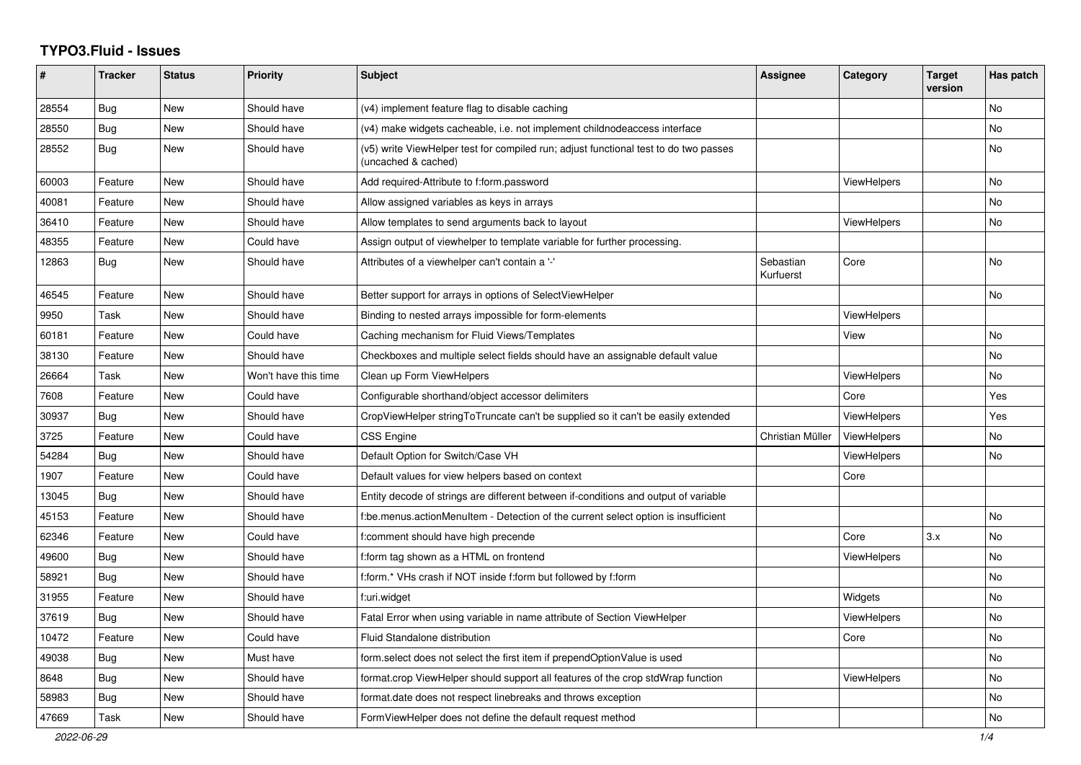## **TYPO3.Fluid - Issues**

| #     | <b>Tracker</b> | <b>Status</b> | <b>Priority</b>      | <b>Subject</b>                                                                                              | Assignee               | Category           | <b>Target</b><br>version | Has patch |
|-------|----------------|---------------|----------------------|-------------------------------------------------------------------------------------------------------------|------------------------|--------------------|--------------------------|-----------|
| 28554 | Bug            | New           | Should have          | (v4) implement feature flag to disable caching                                                              |                        |                    |                          | <b>No</b> |
| 28550 | <b>Bug</b>     | New           | Should have          | (v4) make widgets cacheable, i.e. not implement childnodeaccess interface                                   |                        |                    |                          | No        |
| 28552 | Bug            | New           | Should have          | (v5) write ViewHelper test for compiled run; adjust functional test to do two passes<br>(uncached & cached) |                        |                    |                          | No        |
| 60003 | Feature        | New           | Should have          | Add required-Attribute to f:form.password                                                                   |                        | <b>ViewHelpers</b> |                          | No        |
| 40081 | Feature        | New           | Should have          | Allow assigned variables as keys in arrays                                                                  |                        |                    |                          | <b>No</b> |
| 36410 | Feature        | New           | Should have          | Allow templates to send arguments back to layout                                                            |                        | ViewHelpers        |                          | No        |
| 48355 | Feature        | New           | Could have           | Assign output of viewhelper to template variable for further processing.                                    |                        |                    |                          |           |
| 12863 | Bug            | New           | Should have          | Attributes of a viewhelper can't contain a '-'                                                              | Sebastian<br>Kurfuerst | Core               |                          | No        |
| 46545 | Feature        | New           | Should have          | Better support for arrays in options of SelectViewHelper                                                    |                        |                    |                          | No        |
| 9950  | Task           | New           | Should have          | Binding to nested arrays impossible for form-elements                                                       |                        | <b>ViewHelpers</b> |                          |           |
| 60181 | Feature        | New           | Could have           | Caching mechanism for Fluid Views/Templates                                                                 |                        | View               |                          | No        |
| 38130 | Feature        | New           | Should have          | Checkboxes and multiple select fields should have an assignable default value                               |                        |                    |                          | <b>No</b> |
| 26664 | Task           | <b>New</b>    | Won't have this time | Clean up Form ViewHelpers                                                                                   |                        | <b>ViewHelpers</b> |                          | <b>No</b> |
| 7608  | Feature        | New           | Could have           | Configurable shorthand/object accessor delimiters                                                           |                        | Core               |                          | Yes       |
| 30937 | <b>Bug</b>     | New           | Should have          | CropViewHelper stringToTruncate can't be supplied so it can't be easily extended                            |                        | ViewHelpers        |                          | Yes       |
| 3725  | Feature        | New           | Could have           | CSS Engine                                                                                                  | Christian Müller       | ViewHelpers        |                          | <b>No</b> |
| 54284 | <b>Bug</b>     | New           | Should have          | Default Option for Switch/Case VH                                                                           |                        | ViewHelpers        |                          | <b>No</b> |
| 1907  | Feature        | New           | Could have           | Default values for view helpers based on context                                                            |                        | Core               |                          |           |
| 13045 | Bug            | New           | Should have          | Entity decode of strings are different between if-conditions and output of variable                         |                        |                    |                          |           |
| 45153 | Feature        | New           | Should have          | f:be.menus.actionMenuItem - Detection of the current select option is insufficient                          |                        |                    |                          | <b>No</b> |
| 62346 | Feature        | New           | Could have           | f:comment should have high precende                                                                         |                        | Core               | 3.x                      | <b>No</b> |
| 49600 | <b>Bug</b>     | New           | Should have          | f:form tag shown as a HTML on frontend                                                                      |                        | <b>ViewHelpers</b> |                          | <b>No</b> |
| 58921 | Bug            | New           | Should have          | f:form.* VHs crash if NOT inside f:form but followed by f:form                                              |                        |                    |                          | <b>No</b> |
| 31955 | Feature        | New           | Should have          | f:uri.widget                                                                                                |                        | Widgets            |                          | No        |
| 37619 | <b>Bug</b>     | New           | Should have          | Fatal Error when using variable in name attribute of Section ViewHelper                                     |                        | <b>ViewHelpers</b> |                          | No        |
| 10472 | Feature        | New           | Could have           | Fluid Standalone distribution                                                                               |                        | Core               |                          | <b>No</b> |
| 49038 | Bug            | New           | Must have            | form select does not select the first item if prependOptionValue is used                                    |                        |                    |                          | No        |
| 8648  | Bug            | New           | Should have          | format.crop ViewHelper should support all features of the crop stdWrap function                             |                        | <b>ViewHelpers</b> |                          | No        |
| 58983 | Bug            | New           | Should have          | format.date does not respect linebreaks and throws exception                                                |                        |                    |                          | No        |
| 47669 | Task           | New           | Should have          | FormViewHelper does not define the default request method                                                   |                        |                    |                          | No        |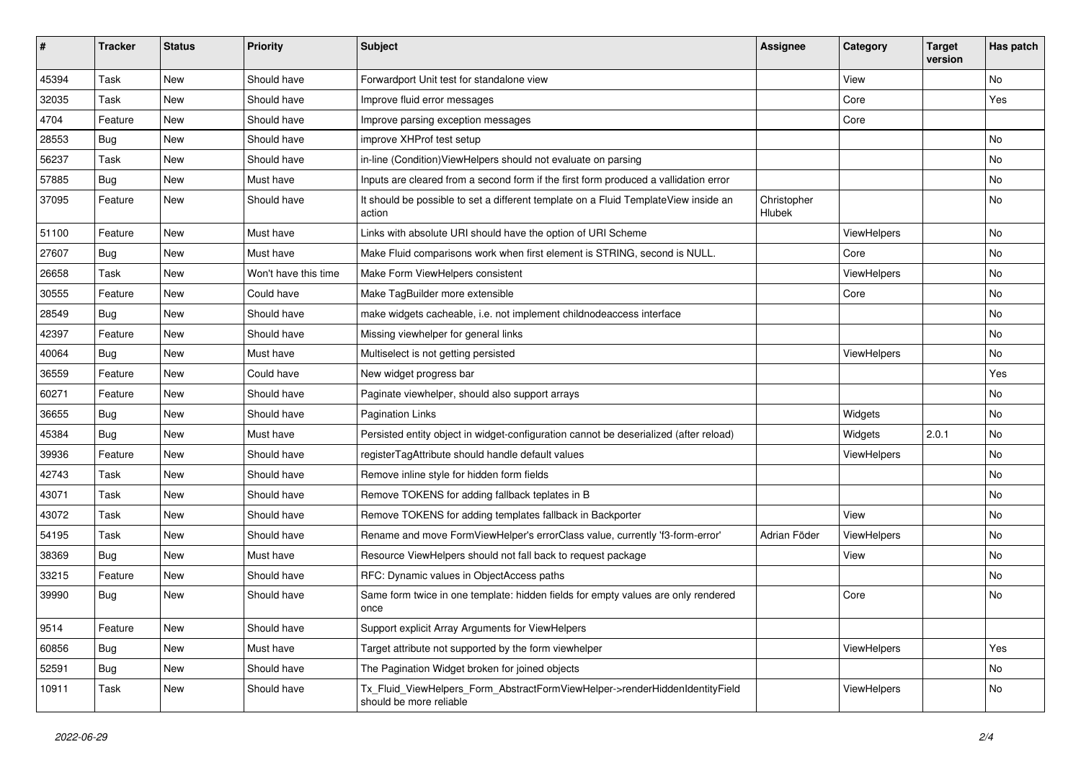| $\vert$ # | <b>Tracker</b> | <b>Status</b> | <b>Priority</b>      | <b>Subject</b>                                                                                         | <b>Assignee</b>       | Category    | <b>Target</b><br>version | Has patch |
|-----------|----------------|---------------|----------------------|--------------------------------------------------------------------------------------------------------|-----------------------|-------------|--------------------------|-----------|
| 45394     | Task           | New           | Should have          | Forwardport Unit test for standalone view                                                              |                       | View        |                          | <b>No</b> |
| 32035     | Task           | New           | Should have          | Improve fluid error messages                                                                           |                       | Core        |                          | Yes       |
| 4704      | Feature        | New           | Should have          | Improve parsing exception messages                                                                     |                       | Core        |                          |           |
| 28553     | Bug            | New           | Should have          | improve XHProf test setup                                                                              |                       |             |                          | No        |
| 56237     | Task           | New           | Should have          | in-line (Condition) View Helpers should not evaluate on parsing                                        |                       |             |                          | No        |
| 57885     | Bug            | New           | Must have            | Inputs are cleared from a second form if the first form produced a vallidation error                   |                       |             |                          | No        |
| 37095     | Feature        | New           | Should have          | It should be possible to set a different template on a Fluid TemplateView inside an<br>action          | Christopher<br>Hlubek |             |                          | No        |
| 51100     | Feature        | New           | Must have            | Links with absolute URI should have the option of URI Scheme                                           |                       | ViewHelpers |                          | No        |
| 27607     | Bug            | New           | Must have            | Make Fluid comparisons work when first element is STRING, second is NULL.                              |                       | Core        |                          | No        |
| 26658     | Task           | <b>New</b>    | Won't have this time | Make Form ViewHelpers consistent                                                                       |                       | ViewHelpers |                          | No        |
| 30555     | Feature        | New           | Could have           | Make TagBuilder more extensible                                                                        |                       | Core        |                          | No        |
| 28549     | Bug            | New           | Should have          | make widgets cacheable, i.e. not implement childnodeaccess interface                                   |                       |             |                          | No        |
| 42397     | Feature        | New           | Should have          | Missing viewhelper for general links                                                                   |                       |             |                          | No        |
| 40064     | Bug            | New           | Must have            | Multiselect is not getting persisted                                                                   |                       | ViewHelpers |                          | No        |
| 36559     | Feature        | New           | Could have           | New widget progress bar                                                                                |                       |             |                          | Yes       |
| 60271     | Feature        | New           | Should have          | Paginate viewhelper, should also support arrays                                                        |                       |             |                          | No        |
| 36655     | Bug            | New           | Should have          | <b>Pagination Links</b>                                                                                |                       | Widgets     |                          | No        |
| 45384     | Bug            | New           | Must have            | Persisted entity object in widget-configuration cannot be deserialized (after reload)                  |                       | Widgets     | 2.0.1                    | No        |
| 39936     | Feature        | New           | Should have          | registerTagAttribute should handle default values                                                      |                       | ViewHelpers |                          | No        |
| 42743     | Task           | New           | Should have          | Remove inline style for hidden form fields                                                             |                       |             |                          | No        |
| 43071     | Task           | New           | Should have          | Remove TOKENS for adding fallback teplates in B                                                        |                       |             |                          | No        |
| 43072     | Task           | New           | Should have          | Remove TOKENS for adding templates fallback in Backporter                                              |                       | View        |                          | No        |
| 54195     | Task           | <b>New</b>    | Should have          | Rename and move FormViewHelper's errorClass value, currently 'f3-form-error'                           | Adrian Föder          | ViewHelpers |                          | No        |
| 38369     | Bug            | New           | Must have            | Resource ViewHelpers should not fall back to request package                                           |                       | View        |                          | No        |
| 33215     | Feature        | New           | Should have          | RFC: Dynamic values in ObjectAccess paths                                                              |                       |             |                          | No        |
| 39990     | Bug            | New           | Should have          | Same form twice in one template: hidden fields for empty values are only rendered<br>once              |                       | Core        |                          | No        |
| 9514      | Feature        | New           | Should have          | Support explicit Array Arguments for ViewHelpers                                                       |                       |             |                          |           |
| 60856     | Bug            | New           | Must have            | Target attribute not supported by the form viewhelper                                                  |                       | ViewHelpers |                          | Yes       |
| 52591     | Bug            | New           | Should have          | The Pagination Widget broken for joined objects                                                        |                       |             |                          | No        |
| 10911     | Task           | New           | Should have          | Tx_Fluid_ViewHelpers_Form_AbstractFormViewHelper->renderHiddenIdentityField<br>should be more reliable |                       | ViewHelpers |                          | No        |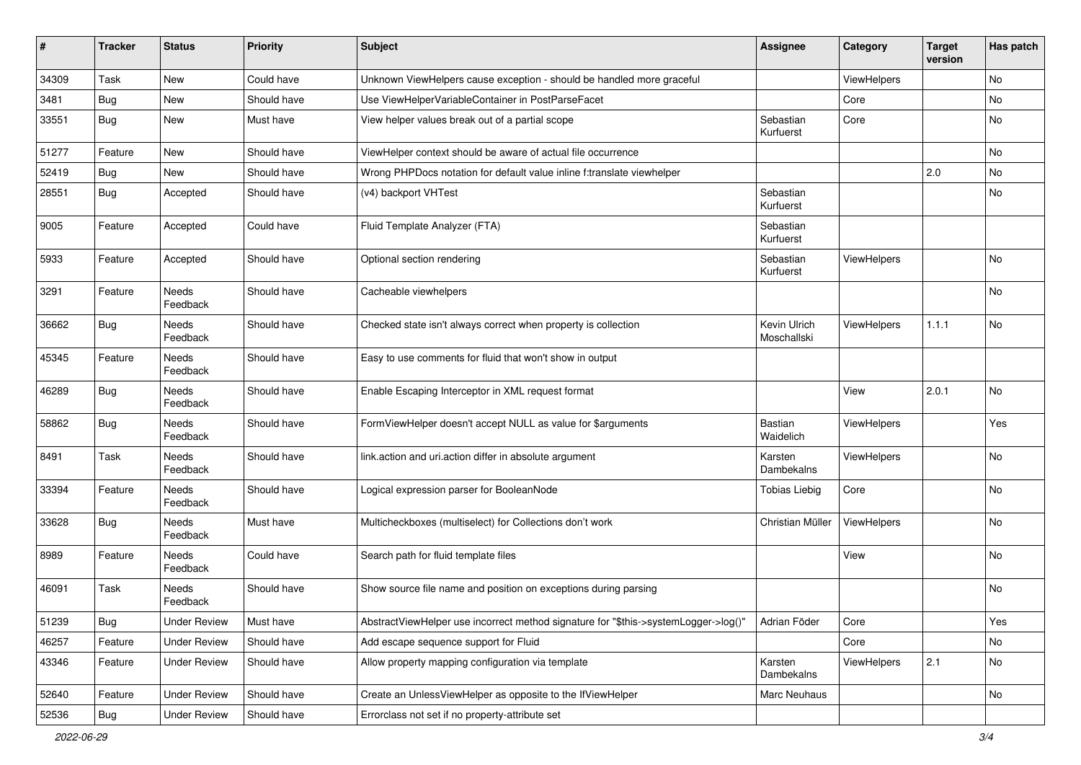| $\pmb{\sharp}$ | Tracker    | <b>Status</b>            | <b>Priority</b> | <b>Subject</b>                                                                      | <b>Assignee</b>             | Category    | <b>Target</b><br>version | Has patch |
|----------------|------------|--------------------------|-----------------|-------------------------------------------------------------------------------------|-----------------------------|-------------|--------------------------|-----------|
| 34309          | Task       | New                      | Could have      | Unknown ViewHelpers cause exception - should be handled more graceful               |                             | ViewHelpers |                          | No        |
| 3481           | Bug        | New                      | Should have     | Use ViewHelperVariableContainer in PostParseFacet                                   |                             | Core        |                          | No        |
| 33551          | Bug        | New                      | Must have       | View helper values break out of a partial scope                                     | Sebastian<br>Kurfuerst      | Core        |                          | No        |
| 51277          | Feature    | <b>New</b>               | Should have     | ViewHelper context should be aware of actual file occurrence                        |                             |             |                          | <b>No</b> |
| 52419          | Bug        | New                      | Should have     | Wrong PHPDocs notation for default value inline f:translate viewhelper              |                             |             | 2.0                      | <b>No</b> |
| 28551          | Bug        | Accepted                 | Should have     | (v4) backport VHTest                                                                | Sebastian<br>Kurfuerst      |             |                          | No        |
| 9005           | Feature    | Accepted                 | Could have      | Fluid Template Analyzer (FTA)                                                       | Sebastian<br>Kurfuerst      |             |                          |           |
| 5933           | Feature    | Accepted                 | Should have     | Optional section rendering                                                          | Sebastian<br>Kurfuerst      | ViewHelpers |                          | <b>No</b> |
| 3291           | Feature    | Needs<br>Feedback        | Should have     | Cacheable viewhelpers                                                               |                             |             |                          | No        |
| 36662          | Bug        | <b>Needs</b><br>Feedback | Should have     | Checked state isn't always correct when property is collection                      | Kevin Ulrich<br>Moschallski | ViewHelpers | 1.1.1                    | <b>No</b> |
| 45345          | Feature    | <b>Needs</b><br>Feedback | Should have     | Easy to use comments for fluid that won't show in output                            |                             |             |                          |           |
| 46289          | Bug        | Needs<br>Feedback        | Should have     | Enable Escaping Interceptor in XML request format                                   |                             | View        | 2.0.1                    | No        |
| 58862          | Bug        | Needs<br>Feedback        | Should have     | FormViewHelper doesn't accept NULL as value for \$arguments                         | Bastian<br>Waidelich        | ViewHelpers |                          | Yes       |
| 8491           | Task       | Needs<br>Feedback        | Should have     | link.action and uri.action differ in absolute argument                              | Karsten<br>Dambekalns       | ViewHelpers |                          | No        |
| 33394          | Feature    | Needs<br>Feedback        | Should have     | Logical expression parser for BooleanNode                                           | <b>Tobias Liebig</b>        | Core        |                          | No        |
| 33628          | Bug        | <b>Needs</b><br>Feedback | Must have       | Multicheckboxes (multiselect) for Collections don't work                            | Christian Müller            | ViewHelpers |                          | No        |
| 8989           | Feature    | <b>Needs</b><br>Feedback | Could have      | Search path for fluid template files                                                |                             | View        |                          | No        |
| 46091          | Task       | <b>Needs</b><br>Feedback | Should have     | Show source file name and position on exceptions during parsing                     |                             |             |                          | No        |
| 51239          | <b>Bug</b> | <b>Under Review</b>      | Must have       | AbstractViewHelper use incorrect method signature for "\$this->systemLogger->log()" | Adrian Föder                | Core        |                          | Yes       |
| 46257          | Feature    | <b>Under Review</b>      | Should have     | Add escape sequence support for Fluid                                               |                             | Core        |                          | No        |
| 43346          | Feature    | <b>Under Review</b>      | Should have     | Allow property mapping configuration via template                                   | Karsten<br>Dambekalns       | ViewHelpers | 2.1                      | No        |
| 52640          | Feature    | <b>Under Review</b>      | Should have     | Create an UnlessViewHelper as opposite to the IfViewHelper                          | Marc Neuhaus                |             |                          | No        |
| 52536          | <b>Bug</b> | <b>Under Review</b>      | Should have     | Errorclass not set if no property-attribute set                                     |                             |             |                          |           |